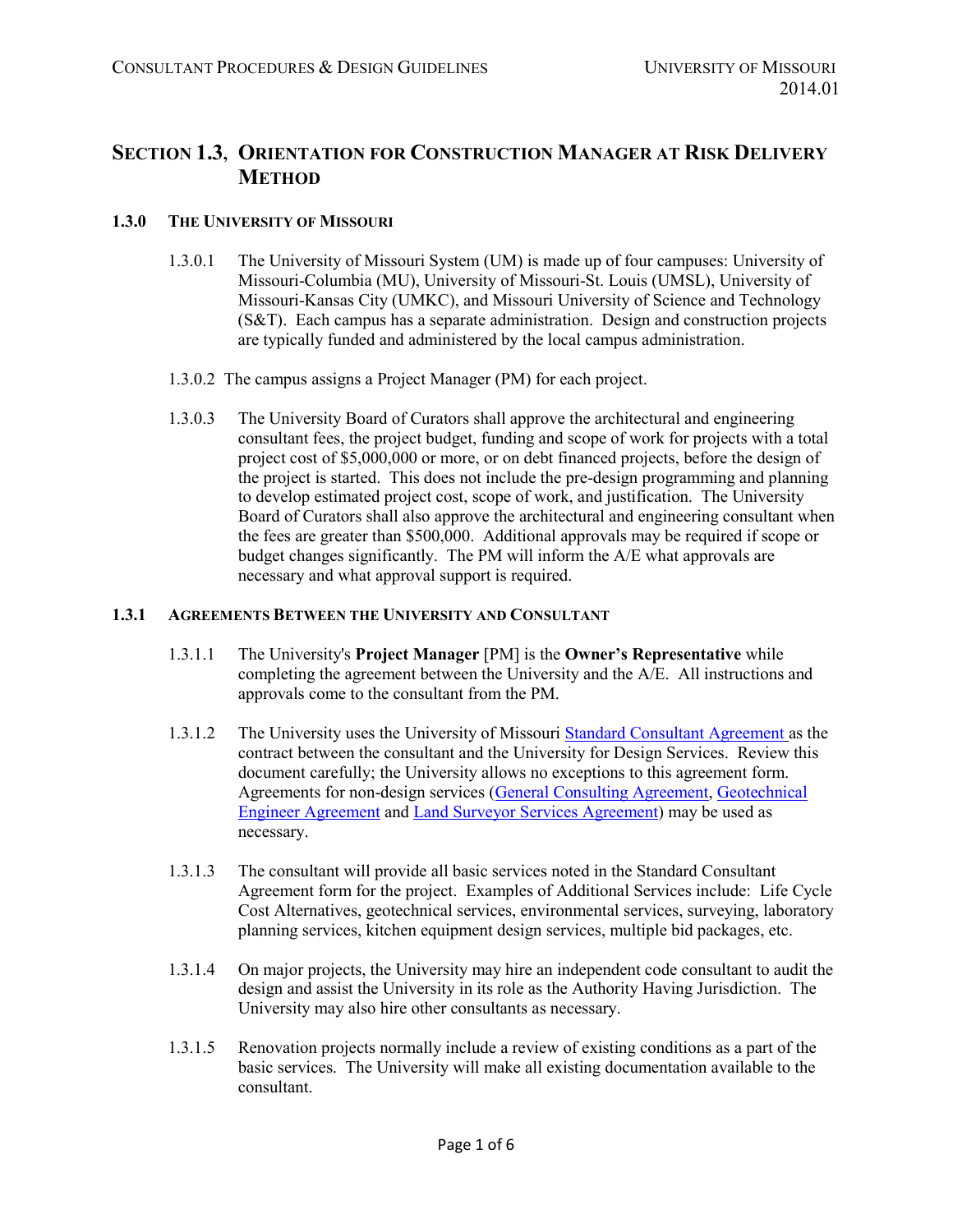# **SECTION 1.3, ORIENTATION FOR CONSTRUCTION MANAGER AT RISK DELIVERY METHOD**

## **1.3.0 THE UNIVERSITY OF MISSOURI**

- 1.3.0.1 The University of Missouri System (UM) is made up of four campuses: University of Missouri-Columbia (MU), University of Missouri-St. Louis (UMSL), University of Missouri-Kansas City (UMKC), and Missouri University of Science and Technology (S&T). Each campus has a separate administration. Design and construction projects are typically funded and administered by the local campus administration.
- 1.3.0.2 The campus assigns a Project Manager (PM) for each project.
- 1.3.0.3 The University Board of Curators shall approve the architectural and engineering consultant fees, the project budget, funding and scope of work for projects with a total project cost of \$5,000,000 or more, or on debt financed projects, before the design of the project is started. This does not include the pre-design programming and planning to develop estimated project cost, scope of work, and justification. The University Board of Curators shall also approve the architectural and engineering consultant when the fees are greater than \$500,000. Additional approvals may be required if scope or budget changes significantly. The PM will inform the A/E what approvals are necessary and what approval support is required.

#### **1.3.1 AGREEMENTS BETWEEN THE UNIVERSITY AND CONSULTANT**

- 1.3.1.1 The University's **Project Manager** [PM] is the **Owner's Representative** while completing the agreement between the University and the A/E. All instructions and approvals come to the consultant from the PM.
- 1.3.1.2 The University uses the University of Missouri [Standard Consultant](https://collaborate.umsystem.edu/sites/fpd/public/docs/Standard%20Consulting%20Agreement.pdf?d=w1be8025db60144cd9215a81f82d4cb91) Agreement as the contract between the consultant and the University for Design Services. Review this document carefully; the University allows no exceptions to this agreement form. Agreements for non-design services [\(General Consulting Agreement,](https://collaborate.umsystem.edu/sites/fpd/public/docs/General%20Consulting%20Agreement.docx?d=w072577afd6544a11b711224e8a4d6132) [Geotechnical](https://collaborate.umsystem.edu/sites/fpd/public/docs/geotechnical%20engineer%20agreement%20-%20no%20cover%20letter.docx?d=wa37f598ccb5f4b50b7d2d0a252f59576)  Engineer [Agreement](https://collaborate.umsystem.edu/sites/fpd/public/docs/geotechnical%20engineer%20agreement%20-%20no%20cover%20letter.docx?d=wa37f598ccb5f4b50b7d2d0a252f59576) and [Land Surveyor Services Agreement\)](https://collaborate.umsystem.edu/sites/fpd/public/docs/land%20surveyor%20agreement%20-%20no%20transmittal%20letter.docx?d=w3fcaf713aba44f5083e303739710d000) may be used as necessary.
- 1.3.1.3 The consultant will provide all basic services noted in the Standard Consultant Agreement form for the project. Examples of Additional Services include: Life Cycle Cost Alternatives, geotechnical services, environmental services, surveying, laboratory planning services, kitchen equipment design services, multiple bid packages, etc.
- 1.3.1.4 On major projects, the University may hire an independent code consultant to audit the design and assist the University in its role as the Authority Having Jurisdiction. The University may also hire other consultants as necessary.
- 1.3.1.5 Renovation projects normally include a review of existing conditions as a part of the basic services. The University will make all existing documentation available to the consultant.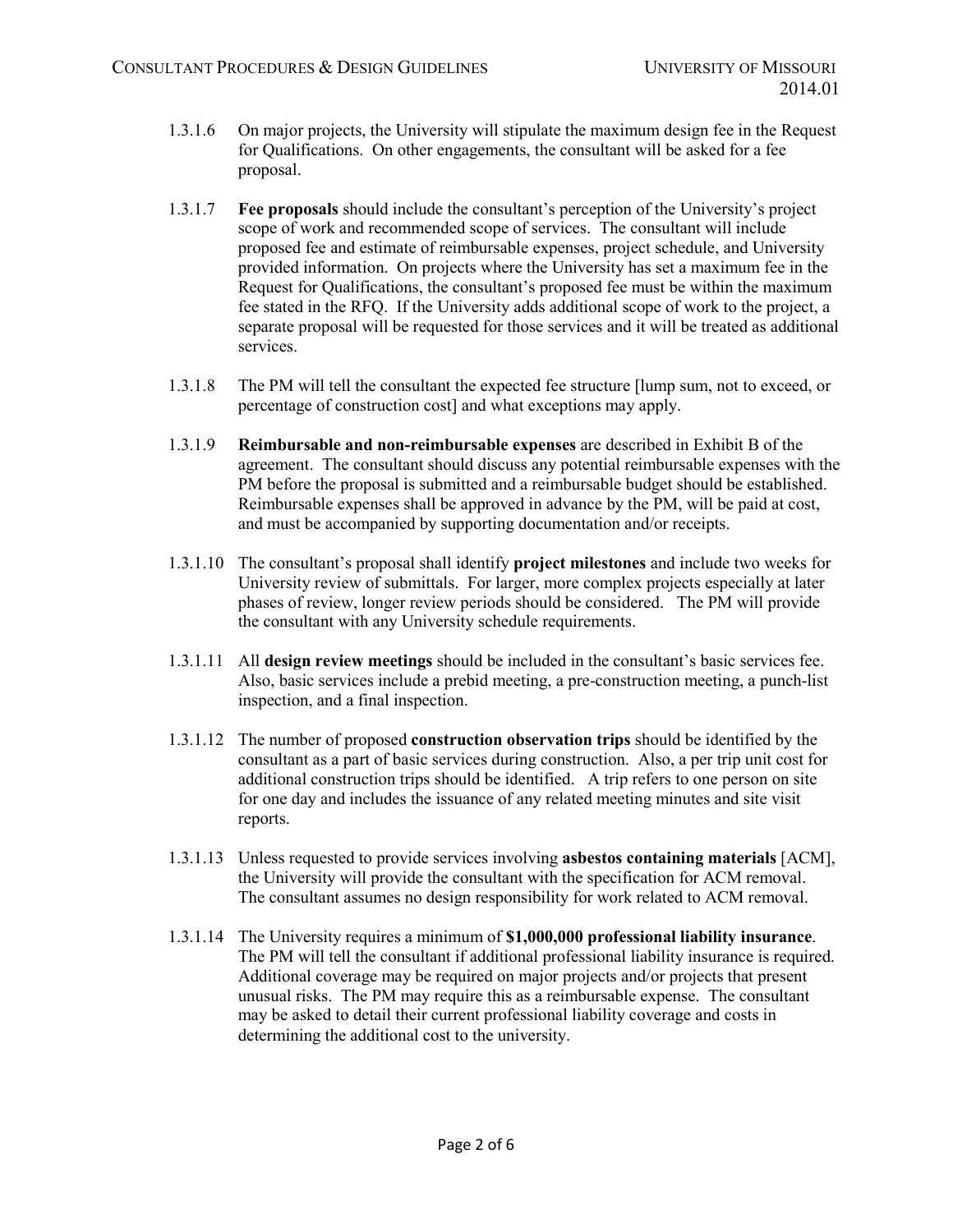- 1.3.1.6 On major projects, the University will stipulate the maximum design fee in the Request for Qualifications. On other engagements, the consultant will be asked for a fee proposal.
- 1.3.1.7 **Fee proposals** should include the consultant's perception of the University's project scope of work and recommended scope of services. The consultant will include proposed fee and estimate of reimbursable expenses, project schedule, and University provided information. On projects where the University has set a maximum fee in the Request for Qualifications, the consultant's proposed fee must be within the maximum fee stated in the RFQ. If the University adds additional scope of work to the project, a separate proposal will be requested for those services and it will be treated as additional services.
- 1.3.1.8 The PM will tell the consultant the expected fee structure [lump sum, not to exceed, or percentage of construction cost] and what exceptions may apply.
- 1.3.1.9 **Reimbursable and non-reimbursable expenses** are described in Exhibit B of the agreement. The consultant should discuss any potential reimbursable expenses with the PM before the proposal is submitted and a reimbursable budget should be established. Reimbursable expenses shall be approved in advance by the PM, will be paid at cost, and must be accompanied by supporting documentation and/or receipts.
- 1.3.1.10 The consultant's proposal shall identify **project milestones** and include two weeks for University review of submittals. For larger, more complex projects especially at later phases of review, longer review periods should be considered. The PM will provide the consultant with any University schedule requirements.
- 1.3.1.11 All **design review meetings** should be included in the consultant's basic services fee. Also, basic services include a prebid meeting, a pre-construction meeting, a punch-list inspection, and a final inspection.
- 1.3.1.12 The number of proposed **construction observation trips** should be identified by the consultant as a part of basic services during construction. Also, a per trip unit cost for additional construction trips should be identified. A trip refers to one person on site for one day and includes the issuance of any related meeting minutes and site visit reports.
- 1.3.1.13 Unless requested to provide services involving **asbestos containing materials** [ACM], the University will provide the consultant with the specification for ACM removal. The consultant assumes no design responsibility for work related to ACM removal.
- 1.3.1.14 The University requires a minimum of **\$1,000,000 professional liability insurance**. The PM will tell the consultant if additional professional liability insurance is required. Additional coverage may be required on major projects and/or projects that present unusual risks. The PM may require this as a reimbursable expense. The consultant may be asked to detail their current professional liability coverage and costs in determining the additional cost to the university.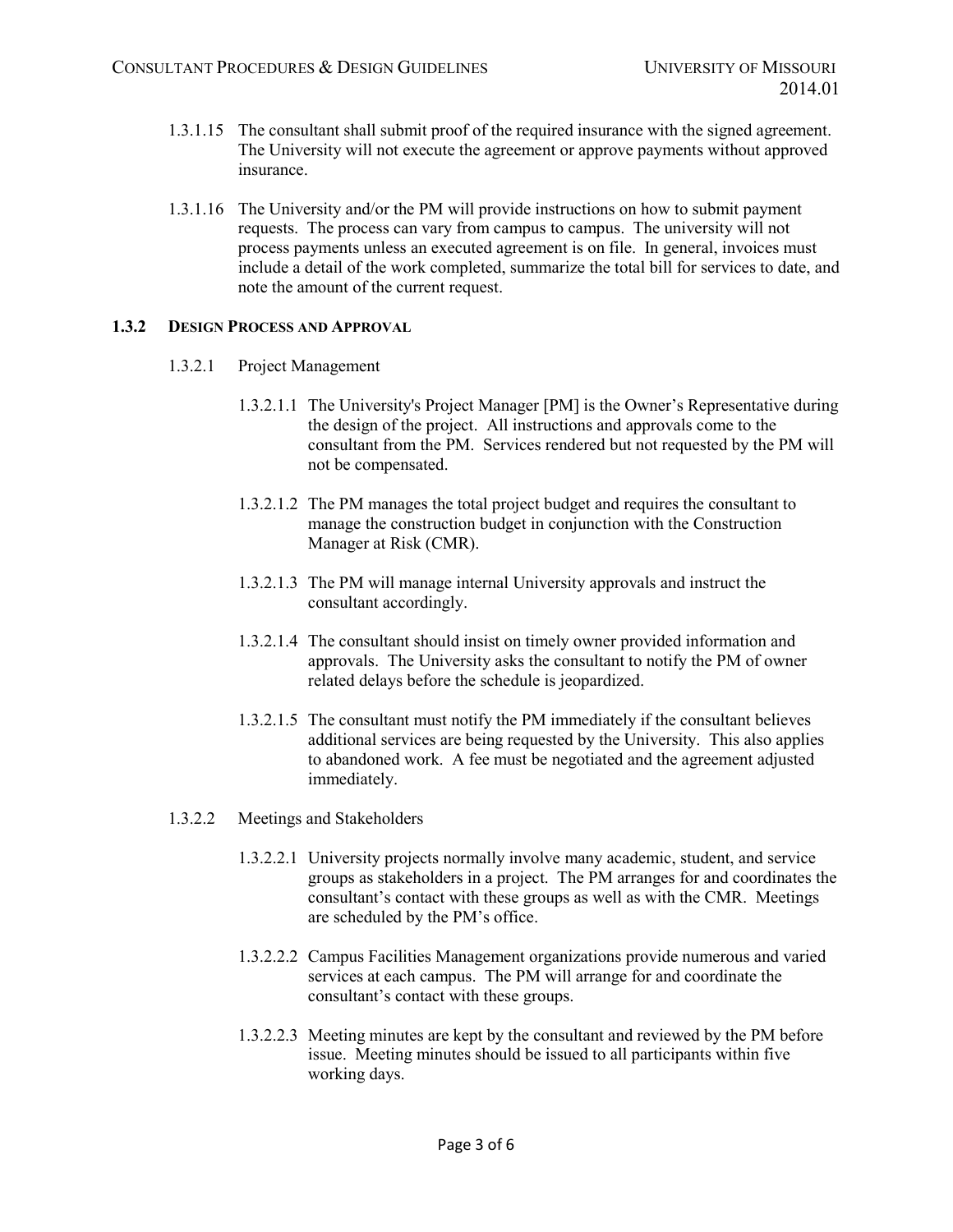- 1.3.1.15 The consultant shall submit proof of the required insurance with the signed agreement. The University will not execute the agreement or approve payments without approved insurance.
- 1.3.1.16 The University and/or the PM will provide instructions on how to submit payment requests. The process can vary from campus to campus. The university will not process payments unless an executed agreement is on file. In general, invoices must include a detail of the work completed, summarize the total bill for services to date, and note the amount of the current request.

### **1.3.2 DESIGN PROCESS AND APPROVAL**

- 1.3.2.1 Project Management
	- 1.3.2.1.1 The University's Project Manager [PM] is the Owner's Representative during the design of the project. All instructions and approvals come to the consultant from the PM. Services rendered but not requested by the PM will not be compensated.
	- 1.3.2.1.2 The PM manages the total project budget and requires the consultant to manage the construction budget in conjunction with the Construction Manager at Risk (CMR).
	- 1.3.2.1.3 The PM will manage internal University approvals and instruct the consultant accordingly.
	- 1.3.2.1.4 The consultant should insist on timely owner provided information and approvals. The University asks the consultant to notify the PM of owner related delays before the schedule is jeopardized.
	- 1.3.2.1.5 The consultant must notify the PM immediately if the consultant believes additional services are being requested by the University. This also applies to abandoned work. A fee must be negotiated and the agreement adjusted immediately.
- 1.3.2.2 Meetings and Stakeholders
	- 1.3.2.2.1 University projects normally involve many academic, student, and service groups as stakeholders in a project. The PM arranges for and coordinates the consultant's contact with these groups as well as with the CMR. Meetings are scheduled by the PM's office.
	- 1.3.2.2.2 Campus Facilities Management organizations provide numerous and varied services at each campus. The PM will arrange for and coordinate the consultant's contact with these groups.
	- 1.3.2.2.3 Meeting minutes are kept by the consultant and reviewed by the PM before issue. Meeting minutes should be issued to all participants within five working days.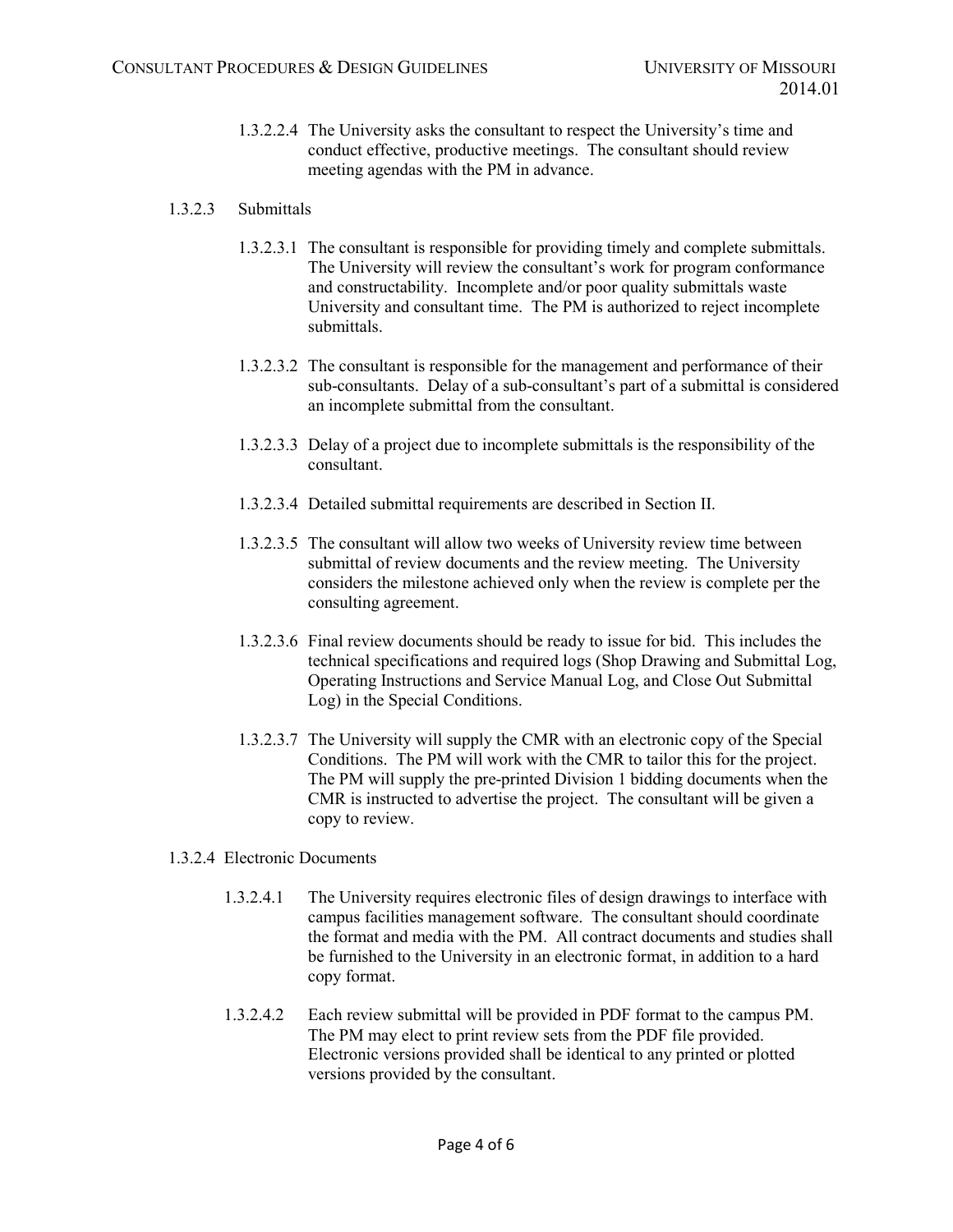1.3.2.2.4 The University asks the consultant to respect the University's time and conduct effective, productive meetings. The consultant should review meeting agendas with the PM in advance.

## 1.3.2.3 Submittals

- 1.3.2.3.1 The consultant is responsible for providing timely and complete submittals. The University will review the consultant's work for program conformance and constructability. Incomplete and/or poor quality submittals waste University and consultant time. The PM is authorized to reject incomplete submittals.
- 1.3.2.3.2 The consultant is responsible for the management and performance of their sub-consultants. Delay of a sub-consultant's part of a submittal is considered an incomplete submittal from the consultant.
- 1.3.2.3.3 Delay of a project due to incomplete submittals is the responsibility of the consultant.
- 1.3.2.3.4 Detailed submittal requirements are described in Section II.
- 1.3.2.3.5 The consultant will allow two weeks of University review time between submittal of review documents and the review meeting. The University considers the milestone achieved only when the review is complete per the consulting agreement.
- 1.3.2.3.6 Final review documents should be ready to issue for bid. This includes the technical specifications and required logs (Shop Drawing and Submittal Log, Operating Instructions and Service Manual Log, and Close Out Submittal Log) in the Special Conditions.
- 1.3.2.3.7 The University will supply the CMR with an electronic copy of the Special Conditions. The PM will work with the CMR to tailor this for the project. The PM will supply the pre-printed Division 1 bidding documents when the CMR is instructed to advertise the project. The consultant will be given a copy to review.

### 1.3.2.4 Electronic Documents

- 1.3.2.4.1 The University requires electronic files of design drawings to interface with campus facilities management software. The consultant should coordinate the format and media with the PM. All contract documents and studies shall be furnished to the University in an electronic format, in addition to a hard copy format.
- 1.3.2.4.2 Each review submittal will be provided in PDF format to the campus PM. The PM may elect to print review sets from the PDF file provided. Electronic versions provided shall be identical to any printed or plotted versions provided by the consultant.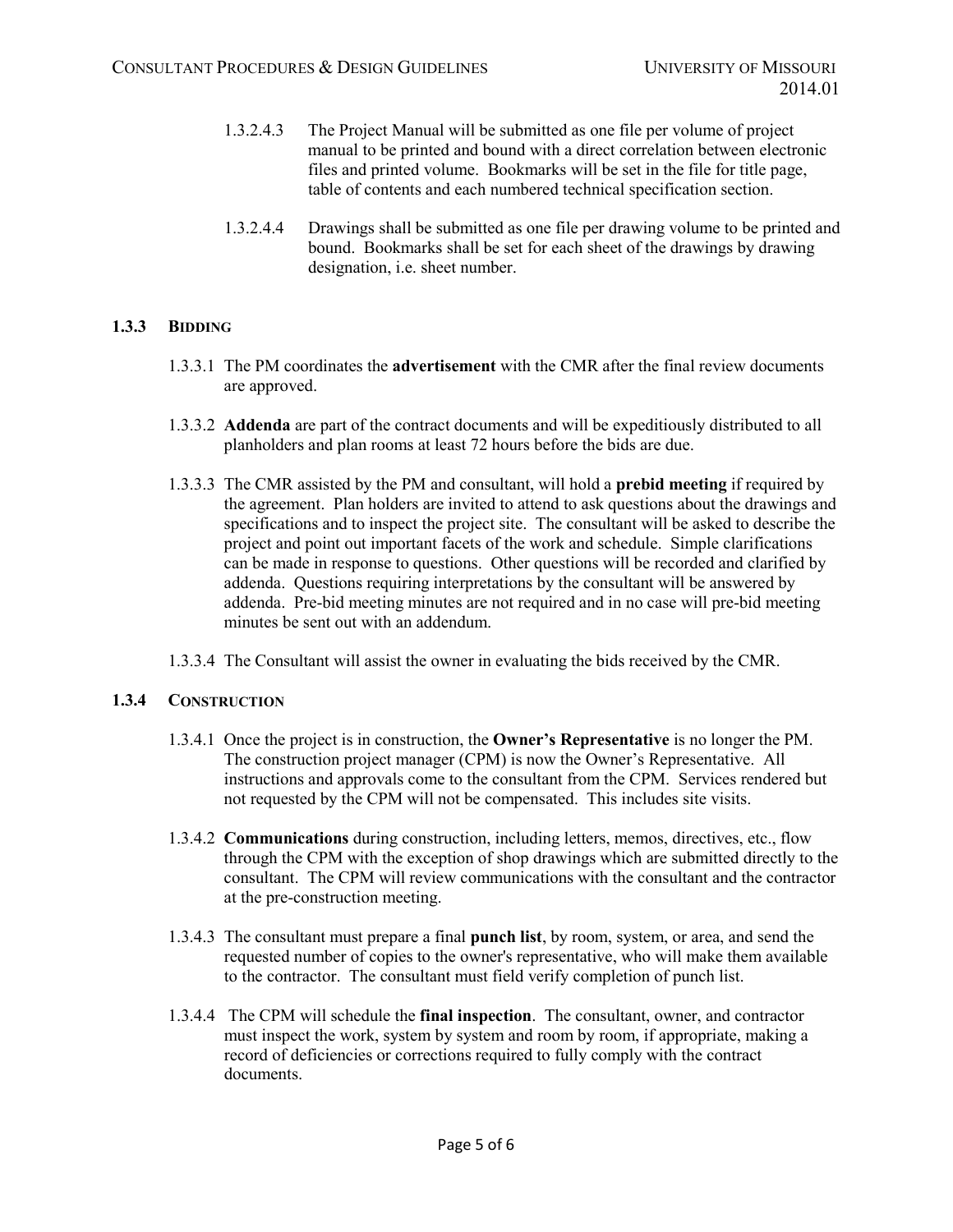- 1.3.2.4.3 The Project Manual will be submitted as one file per volume of project manual to be printed and bound with a direct correlation between electronic files and printed volume. Bookmarks will be set in the file for title page, table of contents and each numbered technical specification section.
- 1.3.2.4.4 Drawings shall be submitted as one file per drawing volume to be printed and bound. Bookmarks shall be set for each sheet of the drawings by drawing designation, i.e. sheet number.

# **1.3.3 BIDDING**

- 1.3.3.1 The PM coordinates the **advertisement** with the CMR after the final review documents are approved.
- 1.3.3.2 **Addenda** are part of the contract documents and will be expeditiously distributed to all planholders and plan rooms at least 72 hours before the bids are due.
- 1.3.3.3 The CMR assisted by the PM and consultant, will hold a **prebid meeting** if required by the agreement. Plan holders are invited to attend to ask questions about the drawings and specifications and to inspect the project site. The consultant will be asked to describe the project and point out important facets of the work and schedule. Simple clarifications can be made in response to questions. Other questions will be recorded and clarified by addenda. Questions requiring interpretations by the consultant will be answered by addenda. Pre-bid meeting minutes are not required and in no case will pre-bid meeting minutes be sent out with an addendum.
- 1.3.3.4 The Consultant will assist the owner in evaluating the bids received by the CMR.

# **1.3.4 CONSTRUCTION**

- 1.3.4.1 Once the project is in construction, the **Owner's Representative** is no longer the PM. The construction project manager (CPM) is now the Owner's Representative. All instructions and approvals come to the consultant from the CPM. Services rendered but not requested by the CPM will not be compensated. This includes site visits.
- 1.3.4.2 **Communications** during construction, including letters, memos, directives, etc., flow through the CPM with the exception of shop drawings which are submitted directly to the consultant. The CPM will review communications with the consultant and the contractor at the pre-construction meeting.
- 1.3.4.3 The consultant must prepare a final **punch list**, by room, system, or area, and send the requested number of copies to the owner's representative, who will make them available to the contractor. The consultant must field verify completion of punch list.
- 1.3.4.4 The CPM will schedule the **final inspection**. The consultant, owner, and contractor must inspect the work, system by system and room by room, if appropriate, making a record of deficiencies or corrections required to fully comply with the contract documents.